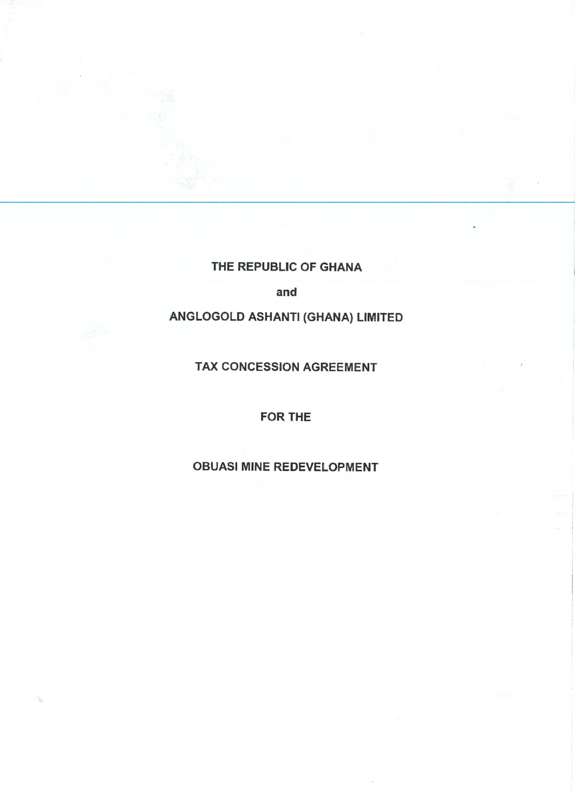THE REPUBLIC OF GHANA

and

# ANGLOGOLD ASHANTI (GHANA) LIMITED

TAX CONCESSION AGREEMENT

## FOR THE

# OBUASI MINE REDEVELOPMENT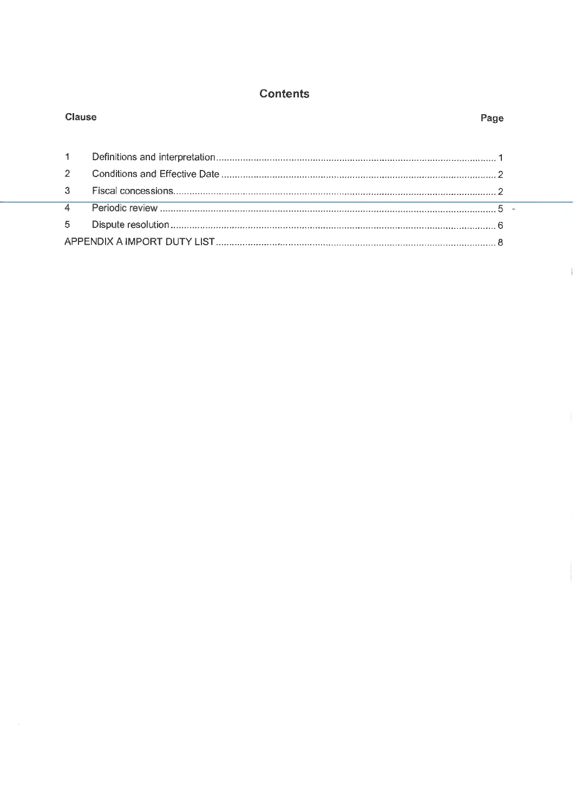# **Contents**

|  | <b>Clause</b>  |  | Page |  |
|--|----------------|--|------|--|
|  |                |  |      |  |
|  |                |  |      |  |
|  | $\overline{2}$ |  |      |  |
|  | 3              |  |      |  |
|  | $\Delta$       |  |      |  |
|  | 5              |  |      |  |
|  |                |  |      |  |

 $\mathcal{A}$ 

ï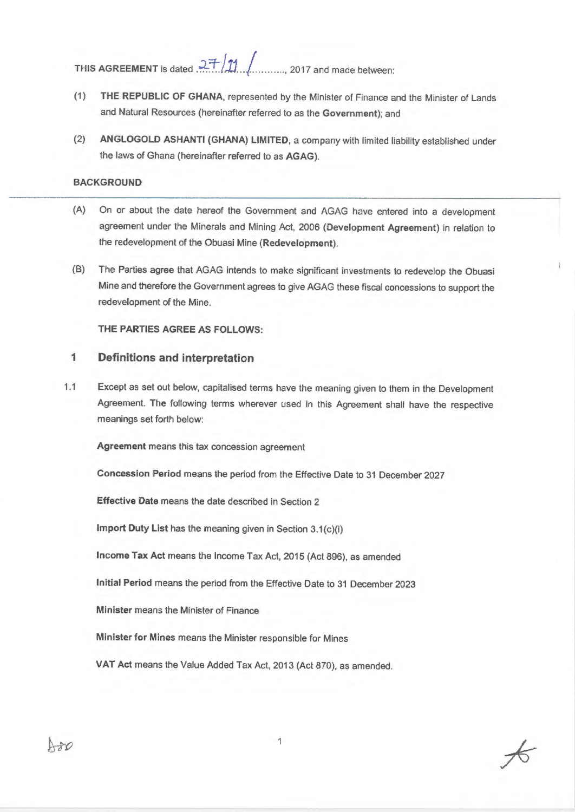**THIS AGREEMENT** is dated  $27/11$  ... ......, 2017 and made between:

- (1) **THE REPUBLIC OF GHANA,** represented by the Minister of Finance and the Minister of Lands and Natural Resources (hereinafter referred to as the **Government);** and
- (2) **ANGLOGOLD ASHANTI (GHANA) LIMITED,** a company with limited liability established under the laws of Ghana (hereinafter referred to as **AGAG).**

### **BACKGROUND**

- (A) On or about the date hereof the Government and AGAG have entered into a development agreement under the Minerals and Mining Act, 2006 **(Development Agreement)** in relation to the redevelopment of the Obuasi Mine **(Redevelopment).**
- (B) The Parties agree that AGAG intends to make significant investments to redevelop the Obuasi Mine and therefore the Government agrees to give AGAG these fiscal concessions to support the redevelopment of the Mine.

THE **PARTIES AGREE AS FOLLOWS:** 

### 1 **Definitions and interpretation**

1.1 Except as set out below, capitalised terms have the meaning given to them in the Development Agreement. The following terms wherever used in this Agreement shall have the respective meanings set forth below:

**Agreement** means this tax concession agreement

**Concession Period** means the period from the Effective Date to 31 December 2027

**Effective Date** means the date described in Section 2

**Import Duty List** has the meaning given in Section 3.1(c)(i)

**Income Tax Act** means the Income Tax Act, 2015 (Act 896), as amended

**Initial Period** means the period from the Effective Date to 31 December 2023

**Minister** means the Minister of Finance

**Minister for Mines** means the Minister responsible for Mines

**VAT Act** means the Value Added Tax Act, 2013 (Act 870), as amended.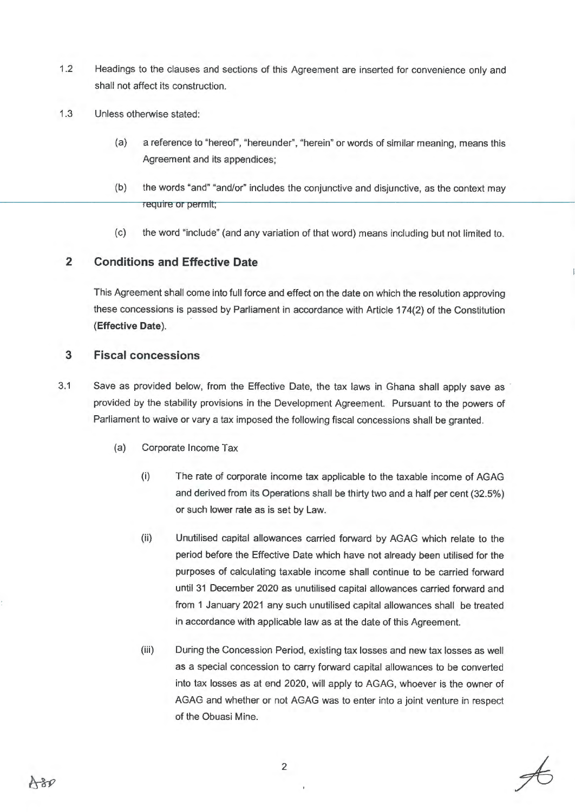- 1.2 Headings to the clauses and sections of this Agreement are inserted for convenience only and shall not affect its construction.
- 1.3 Unless otherwise stated:
	- (a) a reference to "hereof', "hereunder", "herein" or words of similar meaning, means this Agreement and its appendices;
	- (b) the words "and" "and/or" includes the conjunctive and disjunctive, as the context may require or permit;
	- (c) the word "include" (and any variation of that word) means including but not limited to.

## **2 Conditions and Effective Date**

This Agreement shall come into full force and effect on the date on which the resolution approving these concessions is passed by Parliament in accordance with Article 17 4(2) of the Constitution **(Effective Date).** 

### **3 Fiscal concessions**

- 3.1 Save as provided below, from the Effective Date, the tax laws in Ghana shall apply save as provided by the stability provisions in the Development Agreement. Pursuant to the powers of Parliament to waive or vary a tax imposed the following fiscal concessions shall be granted.
	- (a) Corporate Income Tax
		- (i) The rate of corporate income tax applicable to the taxable income of AGAG and derived from its Operations shall be thirty two and a half per cent (32.5%) or such lower rate as is set by Law.
		- (ii) Unutilised capital allowances carried forward by AGAG which relate to the period before the Effective Date which have not already been utilised for the purposes of calculating taxable income shall continue to be carried forward until 31 December 2020 as unutilised capital allowances carried forward and from 1 January 2021 any such unutilised capital allowances shall be treated in accordance with applicable law as at the date of this Agreement.
		- (iii) During the Concession Period, existing tax losses and new tax losses as well as a special concession to carry forward capital allowances to be converted into tax losses as at end 2020, will apply to AGAG, whoever is the owner of AGAG and whether or not AGAG was to enter into a joint venture in respect of the Obuasi Mine.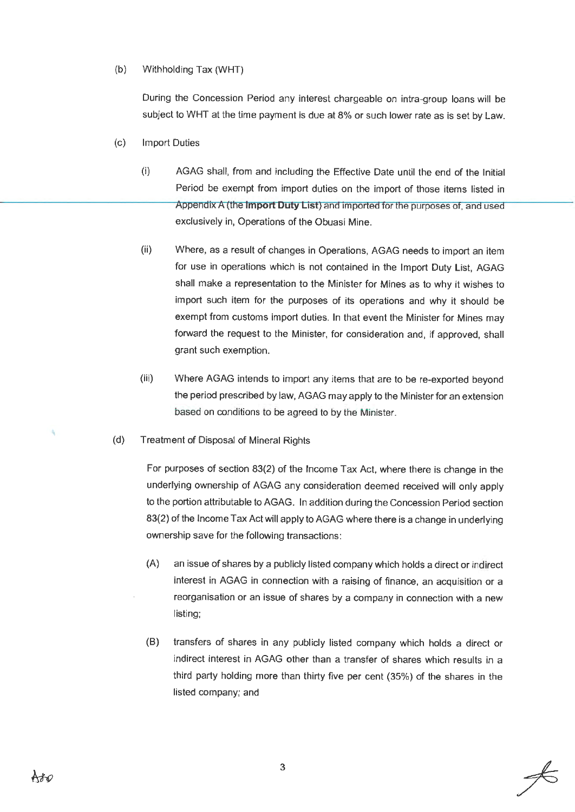### (b) Withholding Tax (WHT)

During the Concession Period any interest chargeable on intra-group loans will be subject to WHT at the time payment is due at 8% or such lower rate as is set by Law.

#### (c) Import Duties

- (i) AGAG shall, from and including the Effective Date until the end of the Initial Period be exempt from import duties on the import of those items listed in Appendix A (the **Import Duty List)** and imported tor the purposes of, and used exclusively in, Operations of the Obuasi Mine.
- (ii) Where, as a result of changes in Operations, AGAG needs to import an item for use in operations which is not contained in the Import Duty List, AGAG shall make a representation to the Minister for Mines as to why it wishes to import such item for the purposes of its operations and why it should be exempt from customs import duties. In that event the Minister for Mines may forward the request to the Minister, for consideration and, if approved, shall grant such exemption.
- (iii) Where AGAG intends to import any items that are to be re-exported beyond the period prescribed by law, AGAG may apply to the Minister for an extension based on conditions to be agreed to by the Minister.

#### (d) Treatment of Disposal of Mineral Rights

For purposes of section 83(2) of the Income Tax Act, where there is change in the underlying ownership of AGAG any consideration deemed received will only apply to the portion attributable to AGAG. In addition during the Concession Period section 83(2) of the Income Tax Act will apply to AGAG where there is a change in underlying ownership save for the following transactions:

- (A) an issue of shares by a publicly listed company which holds a direct or indirect interest in AGAG in connection with a raising of finance, an acquisition or a reorganisation or an issue of shares by a company in connection with a new listing;
- (B) transfers of shares in any publicly listed company which holds a direct or indirect interest in AGAG other than a transfer of shares which results in a third party holding more than thirty five per cent (35%) of the shares in the listed company; and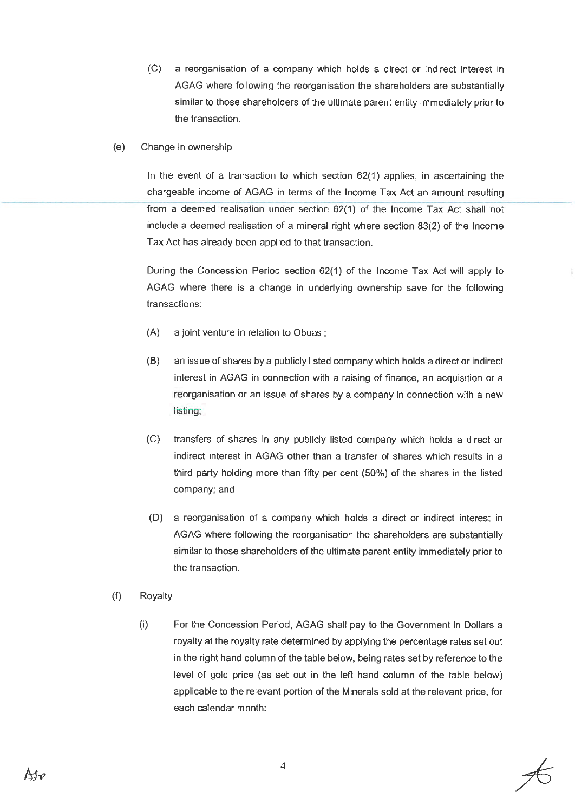- (C) a reorganisation of a company which holds a direct or indirect interest in AGAG where following the reorganisation the shareholders are substantially similar to those shareholders of the ultimate parent entity immediately prior to the transaction.
- (e) Change in ownership

In the event of a transaction to which section 62(1) applies, in ascertaining the chargeable income of AGAG in terms of the Income Tax Act an amount resulting from a deemed realisation under section 62(1) of the Income Tax Act shall not include a deemed realisation of a mineral right where section 83(2) of the Income Tax Act has already been applied to that transaction.

During the Concession Period section 62(1) of the Income Tax Act will apply to AGAG where there is a change in underlying ownership save for the following transactions:

- (A) a joint venture in relation to Obuasi;
- (B) an issue of shares by a publicly listed company which holds a direct or indirect interest in AGAG in connection with a raising of finance, an acquisition or a reorganisation or an issue of shares by a company in connection with a new listing;
- (C) transfers of shares in any publicly listed company which holds a direct or indirect interest in AGAG other than a transfer of shares which results in a third party holding more than fifty per cent (50%) of the shares in the listed company; and
- (D) a reorganisation of a company which holds a direct or indirect interest in AGAG where following the reorganisation the shareholders are substantially similar to those shareholders of the ultimate parent entity immediately prior to the transaction.
- (f) Royalty
	- (i) For the Concession Period, AGAG shall pay to the Government in Dollars a royalty at the royalty rate determined by applying the percentage rates set out in the right hand column of the table below, being rates set by reference to the level of gold price (as set out in the left hand column of the table below) applicable to the relevant portion of the Minerals sold at the relevant price, for each calendar month: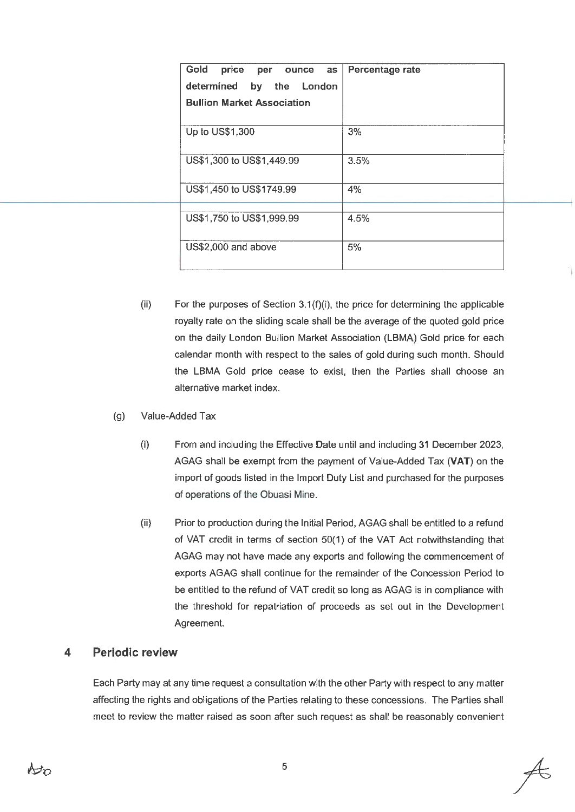| Gold<br>price per ounce<br><b>as</b><br>determined by the London<br><b>Bullion Market Association</b> | Percentage rate |
|-------------------------------------------------------------------------------------------------------|-----------------|
| Up to US\$1,300                                                                                       | 3%              |
| US\$1,300 to US\$1,449.99                                                                             | 3.5%            |
| US\$1,450 to US\$1749.99                                                                              | 4%              |
| US\$1,750 to US\$1,999.99                                                                             | 4.5%            |
| US\$2,000 and above                                                                                   | 5%              |

- $(ii)$  For the purposes of Section 3.1(f)(i), the price for determining the applicable royalty rate on the sliding scale shall be the average of the quoted gold price on the daily London Bullion Market Association {LBMA) Gold price for each calendar month with respect to the sales of gold during such month. Should the LBMA Gold price cease to exist, then the Parties shall choose an alternative market index.
- (g) Value-Added Tax
	- (i) From and including the Effective Date until and including 31 December 2023, AGAG shall be exempt from the payment of Value-Added Tax **(VAT)** on the import of goods listed in the Import Duty List and purchased for the purposes of operations of the Obuasi Mine.
	- (ii) Prior to production during the Initial Period, AGAG shall be entitled to a refund of VAT credit in terms of section 50( 1) of the VAT Act notwithstanding that AGAG may not have made any exports and following the commencement of exports AGAG shall continue for the remainder of the Concession Period to be entitled to the refund of VAT credit so long as AGAG is in compliance with the threshold for repatriation of proceeds as set out in the Development Agreement.

## **4 Periodic review**

Each Party may at any time request a consultation with the other Party with respect to any matter affecting the rights and obligations of the Parties relating to these concessions. The Parties shall meet to review the matter raised as soon after such request as shall be reasonably convenient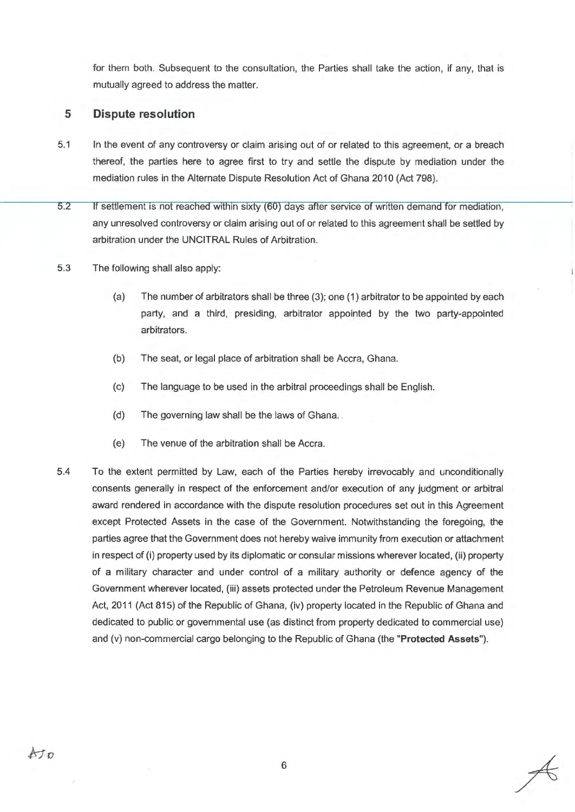for them both. Subsequent to the consultation, the Parties shall take the action, if any, that is mutually agreed to address the matter.

## **5 Dispute resolution**

- 5.1 In the event of any controversy or claim arising out of or related to this agreement, or a breach thereof, the parties here to agree first to try and settle the dispute by mediation under the mediation rules in the Alternate Dispute Resolution Act of Ghana 2010 (Act 798).
- 5.2 If settlement is not reached within sixty (60) days after service of written demand for mediation, any unresolved controversy or claim arising out of or related to this agreement shall be settled by arbitration under the UNCITRAL Rules of Arbitration.
- 5.3 The following shall also apply:
	- (a) The number of arbitrators shall be three (3); one (1) arbitrator to be appointed by each party, and a third, presiding, arbitrator appointed by the two party-appointed arbitrators.
	- (b) The seat, or legal place of arbitration shall be Accra, Ghana.
	- (c) The language to be used in the arbitral proceedings shall be English.
	- (d) The governing law shall be the laws of Ghana.
	- (e) The venue of the arbitration shall be Accra.
- 5.4 To the extent permitted by Law, each of the Parties hereby irrevocably and unconditionally consents generally in respect of the enforcement and/or execution of any judgment or arbitral award rendered in accordance with the dispute resolution procedures set out in this Agreement except Protected Assets in the case of the Government. Notwithstanding the foregoing, the parties agree that the Government does not hereby waive immunity from execution or attachment in respect of (i) property used by its diplomatic or consular missions wherever located, (ii) property of a military character and under control of a military authority or defence agency of the Government wherever located, (iii) assets protected under the Petroleum Revenue Management Act, 2011 (Act 815) of the Republic of Ghana, (iv) property located in the Republic of Ghana and dedicated to public or governmental use (as distinct from property dedicated to commercial use) and (v) non-commercial cargo belonging to the Republic of Ghana (the **"Protected Assets").**